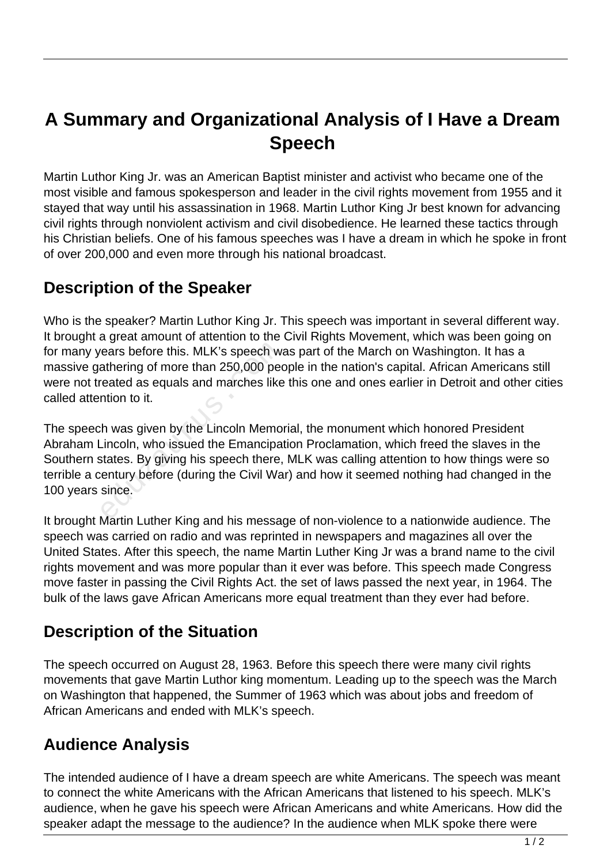# **A Summary and Organizational Analysis of I Have a Dream Speech**

Martin Luthor King Jr. was an American Baptist minister and activist who became one of the most visible and famous spokesperson and leader in the civil rights movement from 1955 and it stayed that way until his assassination in 1968. Martin Luthor King Jr best known for advancing civil rights through nonviolent activism and civil disobedience. He learned these tactics through his Christian beliefs. One of his famous speeches was I have a dream in which he spoke in front of over 200,000 and even more through his national broadcast.

### **Description of the Speaker**

Who is the speaker? Martin Luthor King Jr. This speech was important in several different way. It brought a great amount of attention to the Civil Rights Movement, which was been going on for many years before this. MLK's speech was part of the March on Washington. It has a massive gathering of more than 250,000 people in the nation's capital. African Americans still were not treated as equals and marches like this one and ones earlier in Detroit and other cities called attention to it.

The speech was given by the Lincoln Memorial, the monument which honored President Abraham Lincoln, who issued the Emancipation Proclamation, which freed the slaves in the Southern states. By giving his speech there, MLK was calling attention to how things were so terrible a century before (during the Civil War) and how it seemed nothing had changed in the 100 years since. ears before this. MLK's speech wathering of more than 250,000 peoreated as equals and marches like<br>reated as equals and marches like<br>ntion to it.<br>h was given by the Lincoln Memo<br>incoln, who issued the Emancipa<br>states. By g

It brought Martin Luther King and his message of non-violence to a nationwide audience. The speech was carried on radio and was reprinted in newspapers and magazines all over the United States. After this speech, the name Martin Luther King Jr was a brand name to the civil rights movement and was more popular than it ever was before. This speech made Congress move faster in passing the Civil Rights Act. the set of laws passed the next year, in 1964. The bulk of the laws gave African Americans more equal treatment than they ever had before.

#### **Description of the Situation**

The speech occurred on August 28, 1963. Before this speech there were many civil rights movements that gave Martin Luthor king momentum. Leading up to the speech was the March on Washington that happened, the Summer of 1963 which was about jobs and freedom of African Americans and ended with MLK's speech.

#### **Audience Analysis**

The intended audience of I have a dream speech are white Americans. The speech was meant to connect the white Americans with the African Americans that listened to his speech. MLK's audience, when he gave his speech were African Americans and white Americans. How did the speaker adapt the message to the audience? In the audience when MLK spoke there were